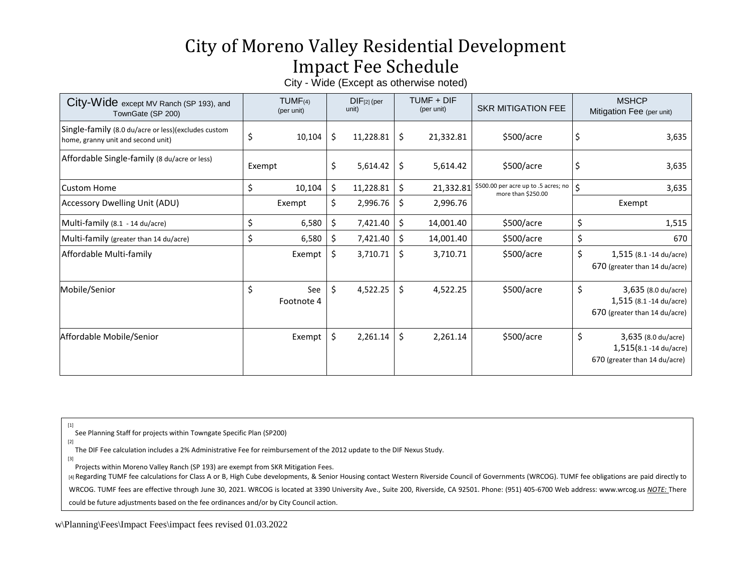## City of Moreno Valley Residential Development Impact Fee Schedule

City - Wide (Except as otherwise noted)

| City-Wide except MV Ranch (SP 193), and<br>TownGate (SP 200)                              | $TUMF_{(4)}$<br>(per unit) | $DIF[2]$ (per<br>unit) | TUMF + DIF<br>(per unit) | <b>SKR MITIGATION FEE</b>                                  |                    | <b>MSHCP</b><br>Mitigation Fee (per unit)                                       |
|-------------------------------------------------------------------------------------------|----------------------------|------------------------|--------------------------|------------------------------------------------------------|--------------------|---------------------------------------------------------------------------------|
| Single-family (8.0 du/acre or less)(excludes custom<br>home, granny unit and second unit) | \$<br>10,104               | \$<br>11,228.81        | \$<br>21,332.81          | \$500/acre                                                 |                    | 3,635                                                                           |
| Affordable Single-family (8 du/acre or less)                                              | Exempt                     | \$<br>5,614.42         | \$<br>5,614.42           | \$500/acre                                                 | S                  | 3,635                                                                           |
| Custom Home                                                                               | \$<br>10,104               | \$<br>11,228.81        | \$<br>21,332.81          | \$500.00 per acre up to .5 acres; no<br>more than \$250.00 | $\mathsf{\hat{S}}$ | 3,635                                                                           |
| <b>Accessory Dwelling Unit (ADU)</b>                                                      | Exempt                     | \$<br>2,996.76         | \$<br>2,996.76           |                                                            |                    | Exempt                                                                          |
| Multi-family (8.1 - 14 du/acre)                                                           | \$<br>6,580                | \$<br>7,421.40         | \$<br>14,001.40          | \$500/acre                                                 | \$                 | 1,515                                                                           |
| Multi-family (greater than 14 du/acre)                                                    | \$<br>6,580                | \$<br>7,421.40         | \$<br>14,001.40          | \$500/acre                                                 | \$                 | 670                                                                             |
| Affordable Multi-family                                                                   | Exempt                     | \$<br>3,710.71         | \$<br>3,710.71           | \$500/acre                                                 | \$                 | 1,515 (8.1 -14 du/acre)<br>670 (greater than 14 du/acre)                        |
| Mobile/Senior                                                                             | \$<br>See<br>Footnote 4    | \$<br>4,522.25         | \$<br>4,522.25           | \$500/acre                                                 | \$                 | 3,635 (8.0 du/acre)<br>1,515 (8.1 -14 du/acre)<br>670 (greater than 14 du/acre) |
| Affordable Mobile/Senior                                                                  | Exempt                     | \$<br>2,261.14         | \$<br>2,261.14           | \$500/acre                                                 | \$                 | 3,635 (8.0 du/acre)<br>1,515(8.1 -14 du/acre)<br>670 (greater than 14 du/acre)  |

[1]

See Planning Staff for projects within Towngate Specific Plan (SP200)

[2]

The DIF Fee calculation includes a 2% Administrative Fee for reimbursement of the 2012 update to the DIF Nexus Study. [3]

Projects within Moreno Valley Ranch (SP 193) are exempt from SKR Mitigation Fees.

[4] Regarding TUMF fee calculations for Class A or B, High Cube developments, & Senior Housing contact Western Riverside Council of Governments (WRCOG). TUMF fee obligations are paid directly to

WRCOG. TUMF fees are effective through June 30, 2021. WRCOG is located at 3390 University Ave., Suite 200, Riverside, CA 92501. Phone: (951) 405-6700 Web address: [www.wrcog.us](http://www.wrcog.us/) *NOTE:* There

could be future adjustments based on the fee ordinances and/or by City Council action.

w\Planning\Fees\Impact Fees\impact fees revised 01.03.2022